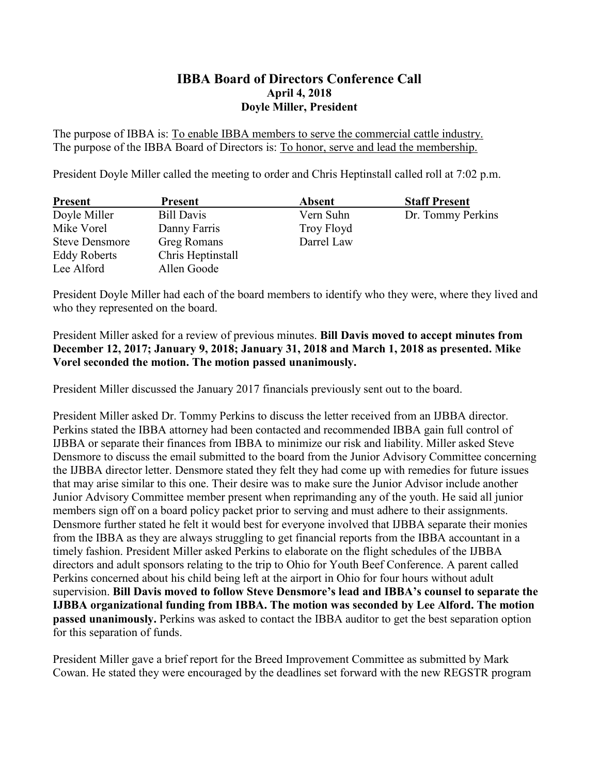## **IBBA Board of Directors Conference Call April 4, 2018 Doyle Miller, President**

The purpose of IBBA is: To enable IBBA members to serve the commercial cattle industry. The purpose of the IBBA Board of Directors is: To honor, serve and lead the membership.

President Doyle Miller called the meeting to order and Chris Heptinstall called roll at 7:02 p.m.

| <b>Present</b>        | <b>Present</b>     | Absent     | <b>Staff Present</b> |
|-----------------------|--------------------|------------|----------------------|
| Doyle Miller          | Bill Davis         | Vern Suhn  | Dr. Tommy Perkins    |
| Mike Vorel            | Danny Farris       | Troy Floyd |                      |
| <b>Steve Densmore</b> | <b>Greg Romans</b> | Darrel Law |                      |
| <b>Eddy Roberts</b>   | Chris Heptinstall  |            |                      |
| Lee Alford            | Allen Goode        |            |                      |

President Doyle Miller had each of the board members to identify who they were, where they lived and who they represented on the board.

## President Miller asked for a review of previous minutes. **Bill Davis moved to accept minutes from December 12, 2017; January 9, 2018; January 31, 2018 and March 1, 2018 as presented. Mike Vorel seconded the motion. The motion passed unanimously.**

President Miller discussed the January 2017 financials previously sent out to the board.

President Miller asked Dr. Tommy Perkins to discuss the letter received from an IJBBA director. Perkins stated the IBBA attorney had been contacted and recommended IBBA gain full control of IJBBA or separate their finances from IBBA to minimize our risk and liability. Miller asked Steve Densmore to discuss the email submitted to the board from the Junior Advisory Committee concerning the IJBBA director letter. Densmore stated they felt they had come up with remedies for future issues that may arise similar to this one. Their desire was to make sure the Junior Advisor include another Junior Advisory Committee member present when reprimanding any of the youth. He said all junior members sign off on a board policy packet prior to serving and must adhere to their assignments. Densmore further stated he felt it would best for everyone involved that IJBBA separate their monies from the IBBA as they are always struggling to get financial reports from the IBBA accountant in a timely fashion. President Miller asked Perkins to elaborate on the flight schedules of the IJBBA directors and adult sponsors relating to the trip to Ohio for Youth Beef Conference. A parent called Perkins concerned about his child being left at the airport in Ohio for four hours without adult supervision. **Bill Davis moved to follow Steve Densmore's lead and IBBA's counsel to separate the IJBBA organizational funding from IBBA. The motion was seconded by Lee Alford. The motion passed unanimously.** Perkins was asked to contact the IBBA auditor to get the best separation option for this separation of funds.

President Miller gave a brief report for the Breed Improvement Committee as submitted by Mark Cowan. He stated they were encouraged by the deadlines set forward with the new REGSTR program